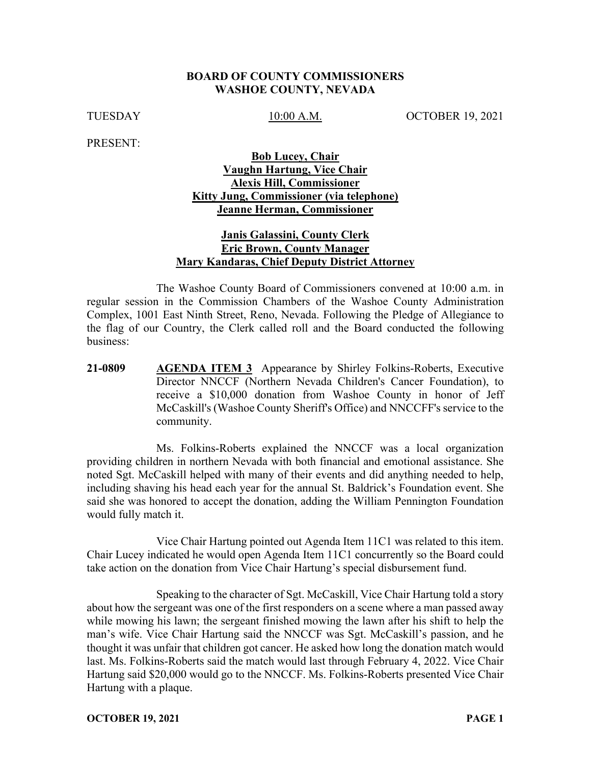#### **BOARD OF COUNTY COMMISSIONERS WASHOE COUNTY, NEVADA**

TUESDAY 10:00 A.M. OCTOBER 19, 2021

PRESENT:

## **Bob Lucey, Chair Vaughn Hartung, Vice Chair Alexis Hill, Commissioner Kitty Jung, Commissioner (via telephone) Jeanne Herman, Commissioner**

### **Janis Galassini, County Clerk Eric Brown, County Manager Mary Kandaras, Chief Deputy District Attorney**

The Washoe County Board of Commissioners convened at 10:00 a.m. in regular session in the Commission Chambers of the Washoe County Administration Complex, 1001 East Ninth Street, Reno, Nevada. Following the Pledge of Allegiance to the flag of our Country, the Clerk called roll and the Board conducted the following business:

**21-0809 AGENDA ITEM 3** Appearance by Shirley Folkins-Roberts, Executive Director NNCCF (Northern Nevada Children's Cancer Foundation), to receive a \$10,000 donation from Washoe County in honor of Jeff McCaskill's (Washoe County Sheriff's Office) and NNCCFF's service to the community.

Ms. Folkins-Roberts explained the NNCCF was a local organization providing children in northern Nevada with both financial and emotional assistance. She noted Sgt. McCaskill helped with many of their events and did anything needed to help, including shaving his head each year for the annual St. Baldrick's Foundation event. She said she was honored to accept the donation, adding the William Pennington Foundation would fully match it.

Vice Chair Hartung pointed out Agenda Item 11C1 was related to this item. Chair Lucey indicated he would open Agenda Item 11C1 concurrently so the Board could take action on the donation from Vice Chair Hartung's special disbursement fund.

Speaking to the character of Sgt. McCaskill, Vice Chair Hartung told a story about how the sergeant was one of the first responders on a scene where a man passed away while mowing his lawn; the sergeant finished mowing the lawn after his shift to help the man's wife. Vice Chair Hartung said the NNCCF was Sgt. McCaskill's passion, and he thought it was unfair that children got cancer. He asked how long the donation match would last. Ms. Folkins-Roberts said the match would last through February 4, 2022. Vice Chair Hartung said \$20,000 would go to the NNCCF. Ms. Folkins-Roberts presented Vice Chair Hartung with a plaque.

**OCTOBER 19, 2021 PAGE 1**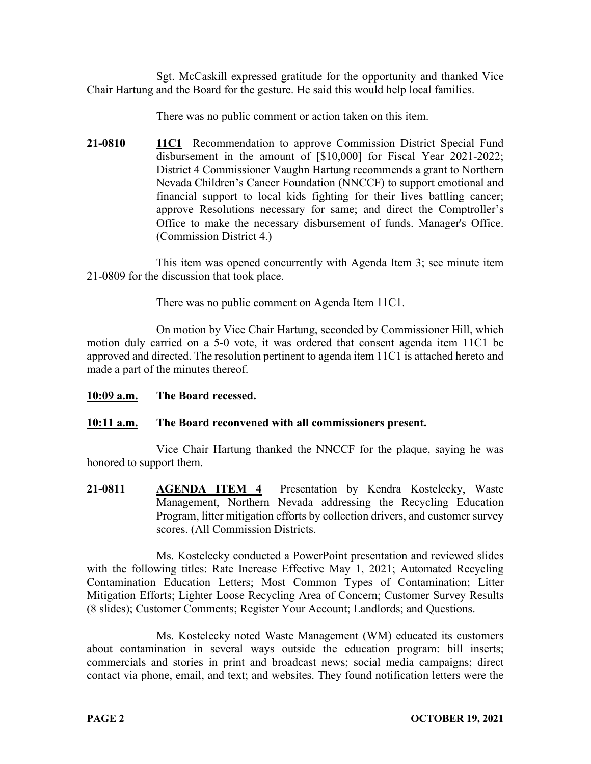Sgt. McCaskill expressed gratitude for the opportunity and thanked Vice Chair Hartung and the Board for the gesture. He said this would help local families.

There was no public comment or action taken on this item.

**21-0810 11C1** Recommendation to approve Commission District Special Fund disbursement in the amount of [\$10,000] for Fiscal Year 2021-2022; District 4 Commissioner Vaughn Hartung recommends a grant to Northern Nevada Children's Cancer Foundation (NNCCF) to support emotional and financial support to local kids fighting for their lives battling cancer; approve Resolutions necessary for same; and direct the Comptroller's Office to make the necessary disbursement of funds. Manager's Office. (Commission District 4.)

This item was opened concurrently with Agenda Item 3; see minute item 21-0809 for the discussion that took place.

There was no public comment on Agenda Item 11C1.

On motion by Vice Chair Hartung, seconded by Commissioner Hill, which motion duly carried on a 5-0 vote, it was ordered that consent agenda item 11C1 be approved and directed. The resolution pertinent to agenda item 11C1 is attached hereto and made a part of the minutes thereof.

**10:09 a.m. The Board recessed.**

# **10:11 a.m. The Board reconvened with all commissioners present.**

Vice Chair Hartung thanked the NNCCF for the plaque, saying he was honored to support them.

**21-0811 AGENDA ITEM 4** Presentation by Kendra Kostelecky, Waste Management, Northern Nevada addressing the Recycling Education Program, litter mitigation efforts by collection drivers, and customer survey scores. (All Commission Districts.

Ms. Kostelecky conducted a PowerPoint presentation and reviewed slides with the following titles: Rate Increase Effective May 1, 2021; Automated Recycling Contamination Education Letters; Most Common Types of Contamination; Litter Mitigation Efforts; Lighter Loose Recycling Area of Concern; Customer Survey Results (8 slides); Customer Comments; Register Your Account; Landlords; and Questions.

Ms. Kostelecky noted Waste Management (WM) educated its customers about contamination in several ways outside the education program: bill inserts; commercials and stories in print and broadcast news; social media campaigns; direct contact via phone, email, and text; and websites. They found notification letters were the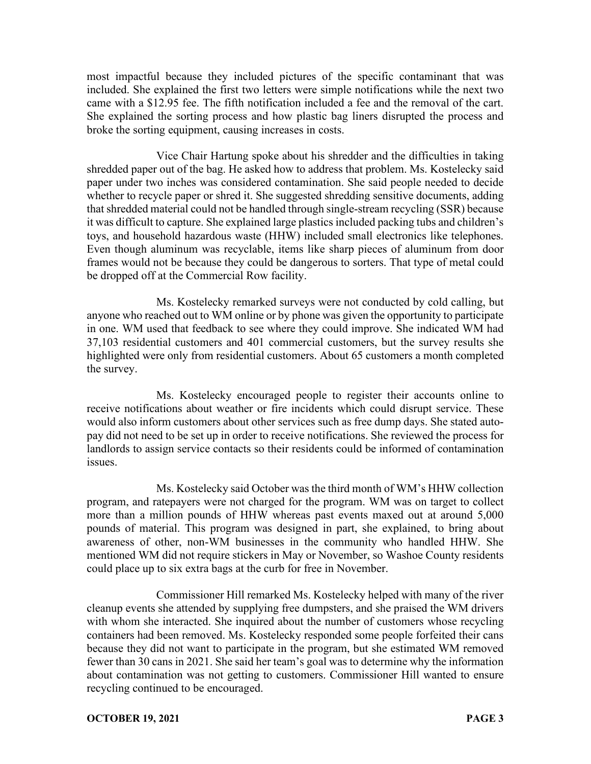most impactful because they included pictures of the specific contaminant that was included. She explained the first two letters were simple notifications while the next two came with a \$12.95 fee. The fifth notification included a fee and the removal of the cart. She explained the sorting process and how plastic bag liners disrupted the process and broke the sorting equipment, causing increases in costs.

Vice Chair Hartung spoke about his shredder and the difficulties in taking shredded paper out of the bag. He asked how to address that problem. Ms. Kostelecky said paper under two inches was considered contamination. She said people needed to decide whether to recycle paper or shred it. She suggested shredding sensitive documents, adding that shredded material could not be handled through single-stream recycling (SSR) because it was difficult to capture. She explained large plastics included packing tubs and children's toys, and household hazardous waste (HHW) included small electronics like telephones. Even though aluminum was recyclable, items like sharp pieces of aluminum from door frames would not be because they could be dangerous to sorters. That type of metal could be dropped off at the Commercial Row facility.

Ms. Kostelecky remarked surveys were not conducted by cold calling, but anyone who reached out to WM online or by phone was given the opportunity to participate in one. WM used that feedback to see where they could improve. She indicated WM had 37,103 residential customers and 401 commercial customers, but the survey results she highlighted were only from residential customers. About 65 customers a month completed the survey.

Ms. Kostelecky encouraged people to register their accounts online to receive notifications about weather or fire incidents which could disrupt service. These would also inform customers about other services such as free dump days. She stated autopay did not need to be set up in order to receive notifications. She reviewed the process for landlords to assign service contacts so their residents could be informed of contamination issues.

Ms. Kostelecky said October was the third month of WM's HHW collection program, and ratepayers were not charged for the program. WM was on target to collect more than a million pounds of HHW whereas past events maxed out at around 5,000 pounds of material. This program was designed in part, she explained, to bring about awareness of other, non-WM businesses in the community who handled HHW. She mentioned WM did not require stickers in May or November, so Washoe County residents could place up to six extra bags at the curb for free in November.

Commissioner Hill remarked Ms. Kostelecky helped with many of the river cleanup events she attended by supplying free dumpsters, and she praised the WM drivers with whom she interacted. She inquired about the number of customers whose recycling containers had been removed. Ms. Kostelecky responded some people forfeited their cans because they did not want to participate in the program, but she estimated WM removed fewer than 30 cans in 2021. She said her team's goal was to determine why the information about contamination was not getting to customers. Commissioner Hill wanted to ensure recycling continued to be encouraged.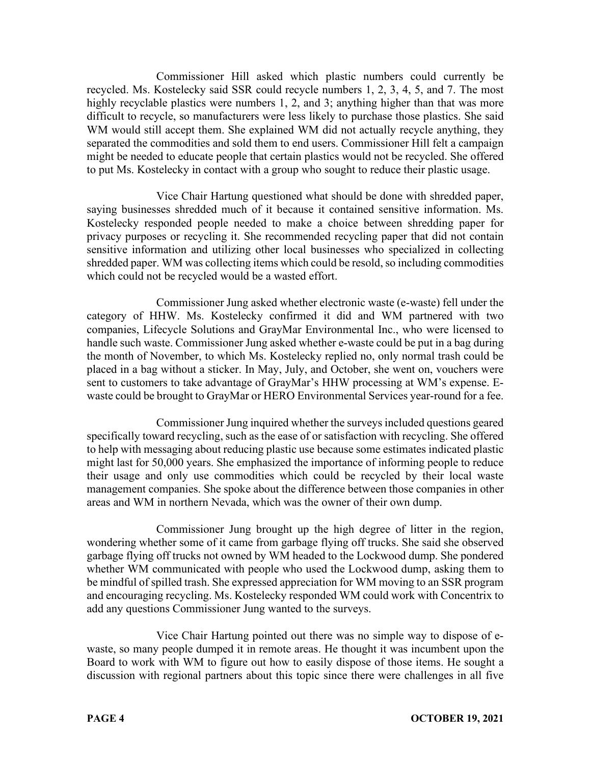Commissioner Hill asked which plastic numbers could currently be recycled. Ms. Kostelecky said SSR could recycle numbers 1, 2, 3, 4, 5, and 7. The most highly recyclable plastics were numbers 1, 2, and 3; anything higher than that was more difficult to recycle, so manufacturers were less likely to purchase those plastics. She said WM would still accept them. She explained WM did not actually recycle anything, they separated the commodities and sold them to end users. Commissioner Hill felt a campaign might be needed to educate people that certain plastics would not be recycled. She offered to put Ms. Kostelecky in contact with a group who sought to reduce their plastic usage.

Vice Chair Hartung questioned what should be done with shredded paper, saying businesses shredded much of it because it contained sensitive information. Ms. Kostelecky responded people needed to make a choice between shredding paper for privacy purposes or recycling it. She recommended recycling paper that did not contain sensitive information and utilizing other local businesses who specialized in collecting shredded paper. WM was collecting items which could be resold, so including commodities which could not be recycled would be a wasted effort.

Commissioner Jung asked whether electronic waste (e-waste) fell under the category of HHW. Ms. Kostelecky confirmed it did and WM partnered with two companies, Lifecycle Solutions and GrayMar Environmental Inc., who were licensed to handle such waste. Commissioner Jung asked whether e-waste could be put in a bag during the month of November, to which Ms. Kostelecky replied no, only normal trash could be placed in a bag without a sticker. In May, July, and October, she went on, vouchers were sent to customers to take advantage of GrayMar's HHW processing at WM's expense. Ewaste could be brought to GrayMar or HERO Environmental Services year-round for a fee.

Commissioner Jung inquired whether the surveys included questions geared specifically toward recycling, such as the ease of or satisfaction with recycling. She offered to help with messaging about reducing plastic use because some estimates indicated plastic might last for 50,000 years. She emphasized the importance of informing people to reduce their usage and only use commodities which could be recycled by their local waste management companies. She spoke about the difference between those companies in other areas and WM in northern Nevada, which was the owner of their own dump.

Commissioner Jung brought up the high degree of litter in the region, wondering whether some of it came from garbage flying off trucks. She said she observed garbage flying off trucks not owned by WM headed to the Lockwood dump. She pondered whether WM communicated with people who used the Lockwood dump, asking them to be mindful of spilled trash. She expressed appreciation for WM moving to an SSR program and encouraging recycling. Ms. Kostelecky responded WM could work with Concentrix to add any questions Commissioner Jung wanted to the surveys.

Vice Chair Hartung pointed out there was no simple way to dispose of ewaste, so many people dumped it in remote areas. He thought it was incumbent upon the Board to work with WM to figure out how to easily dispose of those items. He sought a discussion with regional partners about this topic since there were challenges in all five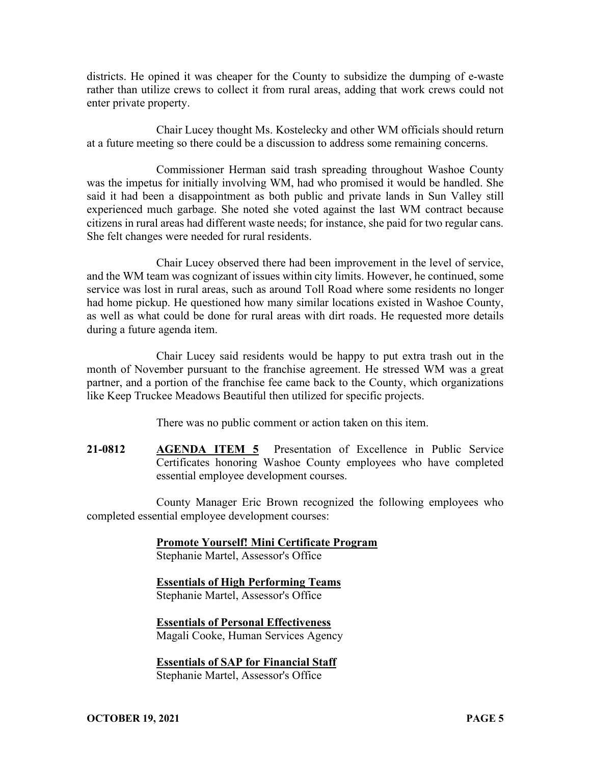districts. He opined it was cheaper for the County to subsidize the dumping of e-waste rather than utilize crews to collect it from rural areas, adding that work crews could not enter private property.

Chair Lucey thought Ms. Kostelecky and other WM officials should return at a future meeting so there could be a discussion to address some remaining concerns.

Commissioner Herman said trash spreading throughout Washoe County was the impetus for initially involving WM, had who promised it would be handled. She said it had been a disappointment as both public and private lands in Sun Valley still experienced much garbage. She noted she voted against the last WM contract because citizens in rural areas had different waste needs; for instance, she paid for two regular cans. She felt changes were needed for rural residents.

Chair Lucey observed there had been improvement in the level of service, and the WM team was cognizant of issues within city limits. However, he continued, some service was lost in rural areas, such as around Toll Road where some residents no longer had home pickup. He questioned how many similar locations existed in Washoe County, as well as what could be done for rural areas with dirt roads. He requested more details during a future agenda item.

Chair Lucey said residents would be happy to put extra trash out in the month of November pursuant to the franchise agreement. He stressed WM was a great partner, and a portion of the franchise fee came back to the County, which organizations like Keep Truckee Meadows Beautiful then utilized for specific projects.

There was no public comment or action taken on this item.

**21-0812 AGENDA ITEM 5** Presentation of Excellence in Public Service Certificates honoring Washoe County employees who have completed essential employee development courses.

County Manager Eric Brown recognized the following employees who completed essential employee development courses:

**Promote Yourself! Mini Certificate Program**

Stephanie Martel, Assessor's Office

**Essentials of High Performing Teams** Stephanie Martel, Assessor's Office

**Essentials of Personal Effectiveness** Magali Cooke, Human Services Agency

**Essentials of SAP for Financial Staff** Stephanie Martel, Assessor's Office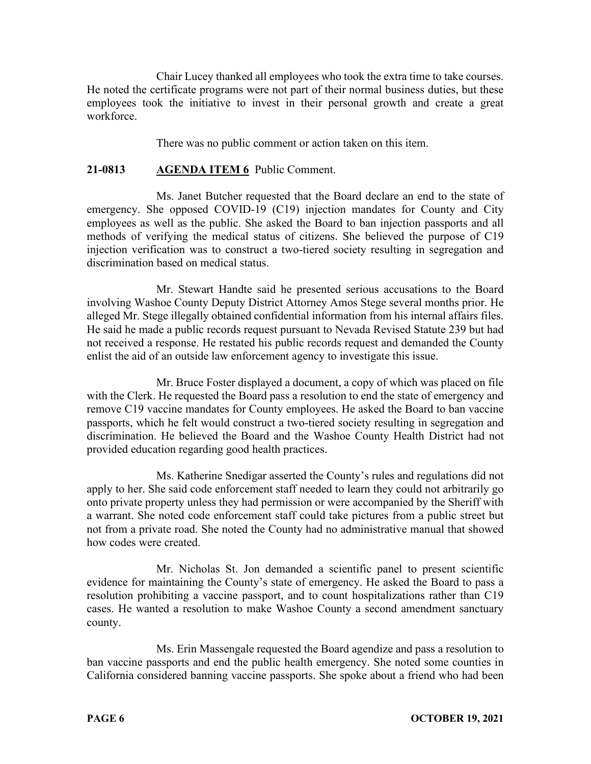Chair Lucey thanked all employees who took the extra time to take courses. He noted the certificate programs were not part of their normal business duties, but these employees took the initiative to invest in their personal growth and create a great workforce.

There was no public comment or action taken on this item.

### **21-0813 AGENDA ITEM 6** Public Comment.

Ms. Janet Butcher requested that the Board declare an end to the state of emergency. She opposed COVID-19 (C19) injection mandates for County and City employees as well as the public. She asked the Board to ban injection passports and all methods of verifying the medical status of citizens. She believed the purpose of C19 injection verification was to construct a two-tiered society resulting in segregation and discrimination based on medical status.

Mr. Stewart Handte said he presented serious accusations to the Board involving Washoe County Deputy District Attorney Amos Stege several months prior. He alleged Mr. Stege illegally obtained confidential information from his internal affairs files. He said he made a public records request pursuant to Nevada Revised Statute 239 but had not received a response. He restated his public records request and demanded the County enlist the aid of an outside law enforcement agency to investigate this issue.

Mr. Bruce Foster displayed a document, a copy of which was placed on file with the Clerk. He requested the Board pass a resolution to end the state of emergency and remove C19 vaccine mandates for County employees. He asked the Board to ban vaccine passports, which he felt would construct a two-tiered society resulting in segregation and discrimination. He believed the Board and the Washoe County Health District had not provided education regarding good health practices.

Ms. Katherine Snedigar asserted the County's rules and regulations did not apply to her. She said code enforcement staff needed to learn they could not arbitrarily go onto private property unless they had permission or were accompanied by the Sheriff with a warrant. She noted code enforcement staff could take pictures from a public street but not from a private road. She noted the County had no administrative manual that showed how codes were created.

Mr. Nicholas St. Jon demanded a scientific panel to present scientific evidence for maintaining the County's state of emergency. He asked the Board to pass a resolution prohibiting a vaccine passport, and to count hospitalizations rather than C19 cases. He wanted a resolution to make Washoe County a second amendment sanctuary county.

Ms. Erin Massengale requested the Board agendize and pass a resolution to ban vaccine passports and end the public health emergency. She noted some counties in California considered banning vaccine passports. She spoke about a friend who had been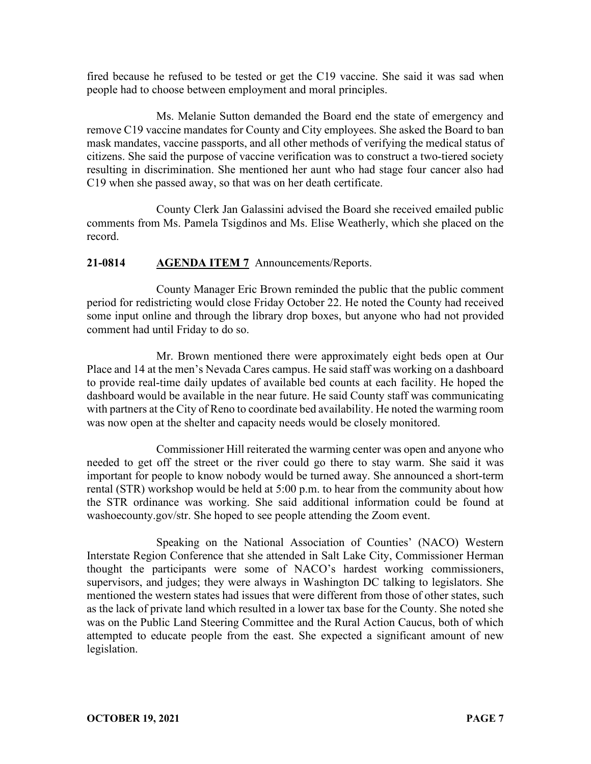fired because he refused to be tested or get the C19 vaccine. She said it was sad when people had to choose between employment and moral principles.

Ms. Melanie Sutton demanded the Board end the state of emergency and remove C19 vaccine mandates for County and City employees. She asked the Board to ban mask mandates, vaccine passports, and all other methods of verifying the medical status of citizens. She said the purpose of vaccine verification was to construct a two-tiered society resulting in discrimination. She mentioned her aunt who had stage four cancer also had C19 when she passed away, so that was on her death certificate.

County Clerk Jan Galassini advised the Board she received emailed public comments from Ms. Pamela Tsigdinos and Ms. Elise Weatherly, which she placed on the record.

# **21-0814 AGENDA ITEM 7** Announcements/Reports.

County Manager Eric Brown reminded the public that the public comment period for redistricting would close Friday October 22. He noted the County had received some input online and through the library drop boxes, but anyone who had not provided comment had until Friday to do so.

Mr. Brown mentioned there were approximately eight beds open at Our Place and 14 at the men's Nevada Cares campus. He said staff was working on a dashboard to provide real-time daily updates of available bed counts at each facility. He hoped the dashboard would be available in the near future. He said County staff was communicating with partners at the City of Reno to coordinate bed availability. He noted the warming room was now open at the shelter and capacity needs would be closely monitored.

Commissioner Hill reiterated the warming center was open and anyone who needed to get off the street or the river could go there to stay warm. She said it was important for people to know nobody would be turned away. She announced a short-term rental (STR) workshop would be held at 5:00 p.m. to hear from the community about how the STR ordinance was working. She said additional information could be found at washoecounty.gov/str. She hoped to see people attending the Zoom event.

Speaking on the National Association of Counties' (NACO) Western Interstate Region Conference that she attended in Salt Lake City, Commissioner Herman thought the participants were some of NACO's hardest working commissioners, supervisors, and judges; they were always in Washington DC talking to legislators. She mentioned the western states had issues that were different from those of other states, such as the lack of private land which resulted in a lower tax base for the County. She noted she was on the Public Land Steering Committee and the Rural Action Caucus, both of which attempted to educate people from the east. She expected a significant amount of new legislation.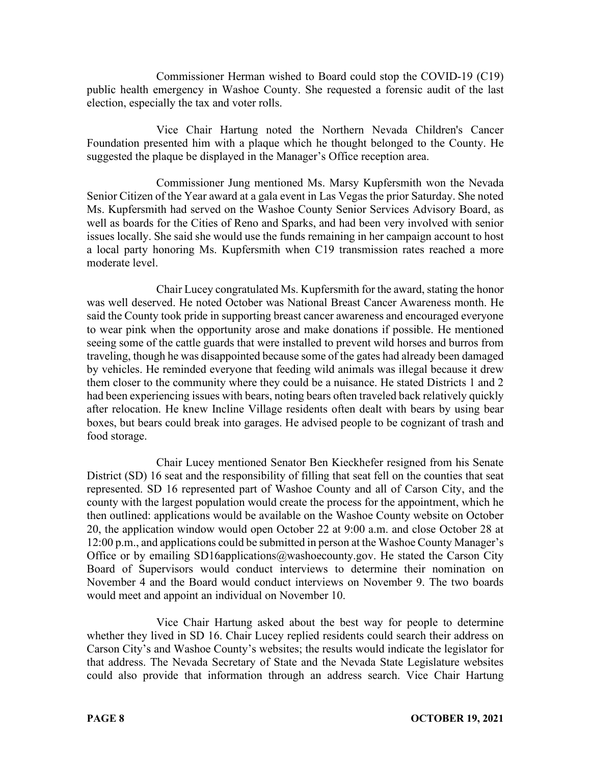Commissioner Herman wished to Board could stop the COVID-19 (C19) public health emergency in Washoe County. She requested a forensic audit of the last election, especially the tax and voter rolls.

Vice Chair Hartung noted the Northern Nevada Children's Cancer Foundation presented him with a plaque which he thought belonged to the County. He suggested the plaque be displayed in the Manager's Office reception area.

Commissioner Jung mentioned Ms. Marsy Kupfersmith won the Nevada Senior Citizen of the Year award at a gala event in Las Vegas the prior Saturday. She noted Ms. Kupfersmith had served on the Washoe County Senior Services Advisory Board, as well as boards for the Cities of Reno and Sparks, and had been very involved with senior issues locally. She said she would use the funds remaining in her campaign account to host a local party honoring Ms. Kupfersmith when C19 transmission rates reached a more moderate level.

Chair Lucey congratulated Ms. Kupfersmith for the award, stating the honor was well deserved. He noted October was National Breast Cancer Awareness month. He said the County took pride in supporting breast cancer awareness and encouraged everyone to wear pink when the opportunity arose and make donations if possible. He mentioned seeing some of the cattle guards that were installed to prevent wild horses and burros from traveling, though he was disappointed because some of the gates had already been damaged by vehicles. He reminded everyone that feeding wild animals was illegal because it drew them closer to the community where they could be a nuisance. He stated Districts 1 and 2 had been experiencing issues with bears, noting bears often traveled back relatively quickly after relocation. He knew Incline Village residents often dealt with bears by using bear boxes, but bears could break into garages. He advised people to be cognizant of trash and food storage.

Chair Lucey mentioned Senator Ben Kieckhefer resigned from his Senate District (SD) 16 seat and the responsibility of filling that seat fell on the counties that seat represented. SD 16 represented part of Washoe County and all of Carson City, and the county with the largest population would create the process for the appointment, which he then outlined: applications would be available on the Washoe County website on October 20, the application window would open October 22 at 9:00 a.m. and close October 28 at 12:00 p.m., and applications could be submitted in person at the Washoe County Manager's Office or by emailing SD16applications@washoecounty.gov. He stated the Carson City Board of Supervisors would conduct interviews to determine their nomination on November 4 and the Board would conduct interviews on November 9. The two boards would meet and appoint an individual on November 10.

Vice Chair Hartung asked about the best way for people to determine whether they lived in SD 16. Chair Lucey replied residents could search their address on Carson City's and Washoe County's websites; the results would indicate the legislator for that address. The Nevada Secretary of State and the Nevada State Legislature websites could also provide that information through an address search. Vice Chair Hartung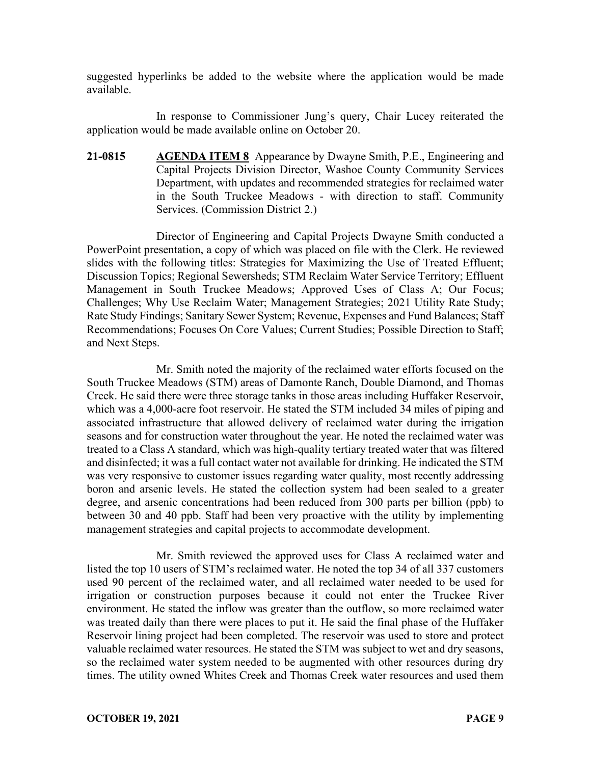suggested hyperlinks be added to the website where the application would be made available.

In response to Commissioner Jung's query, Chair Lucey reiterated the application would be made available online on October 20.

**21-0815 AGENDA ITEM 8** Appearance by Dwayne Smith, P.E., Engineering and Capital Projects Division Director, Washoe County Community Services Department, with updates and recommended strategies for reclaimed water in the South Truckee Meadows - with direction to staff. Community Services. (Commission District 2.)

Director of Engineering and Capital Projects Dwayne Smith conducted a PowerPoint presentation, a copy of which was placed on file with the Clerk. He reviewed slides with the following titles: Strategies for Maximizing the Use of Treated Effluent; Discussion Topics; Regional Sewersheds; STM Reclaim Water Service Territory; Effluent Management in South Truckee Meadows; Approved Uses of Class A; Our Focus; Challenges; Why Use Reclaim Water; Management Strategies; 2021 Utility Rate Study; Rate Study Findings; Sanitary Sewer System; Revenue, Expenses and Fund Balances; Staff Recommendations; Focuses On Core Values; Current Studies; Possible Direction to Staff; and Next Steps.

Mr. Smith noted the majority of the reclaimed water efforts focused on the South Truckee Meadows (STM) areas of Damonte Ranch, Double Diamond, and Thomas Creek. He said there were three storage tanks in those areas including Huffaker Reservoir, which was a 4,000-acre foot reservoir. He stated the STM included 34 miles of piping and associated infrastructure that allowed delivery of reclaimed water during the irrigation seasons and for construction water throughout the year. He noted the reclaimed water was treated to a Class A standard, which was high-quality tertiary treated water that was filtered and disinfected; it was a full contact water not available for drinking. He indicated the STM was very responsive to customer issues regarding water quality, most recently addressing boron and arsenic levels. He stated the collection system had been sealed to a greater degree, and arsenic concentrations had been reduced from 300 parts per billion (ppb) to between 30 and 40 ppb. Staff had been very proactive with the utility by implementing management strategies and capital projects to accommodate development.

Mr. Smith reviewed the approved uses for Class A reclaimed water and listed the top 10 users of STM's reclaimed water. He noted the top 34 of all 337 customers used 90 percent of the reclaimed water, and all reclaimed water needed to be used for irrigation or construction purposes because it could not enter the Truckee River environment. He stated the inflow was greater than the outflow, so more reclaimed water was treated daily than there were places to put it. He said the final phase of the Huffaker Reservoir lining project had been completed. The reservoir was used to store and protect valuable reclaimed water resources. He stated the STM was subject to wet and dry seasons, so the reclaimed water system needed to be augmented with other resources during dry times. The utility owned Whites Creek and Thomas Creek water resources and used them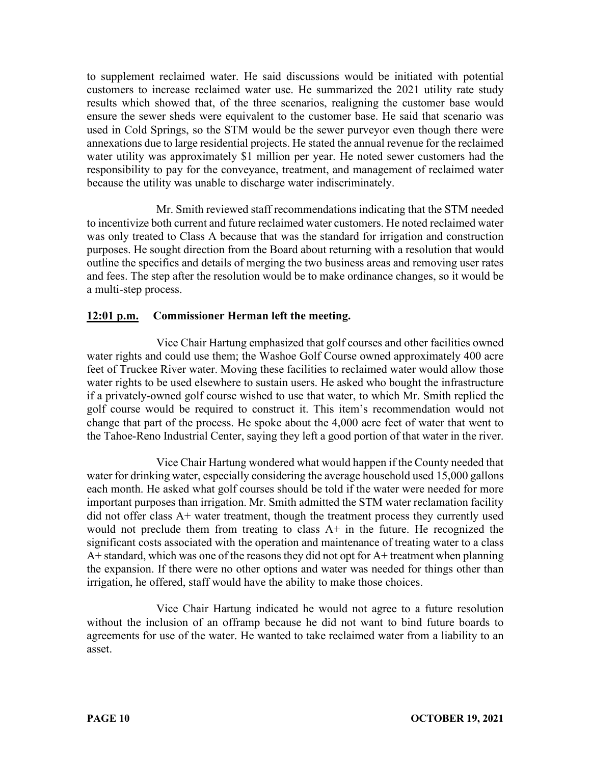to supplement reclaimed water. He said discussions would be initiated with potential customers to increase reclaimed water use. He summarized the 2021 utility rate study results which showed that, of the three scenarios, realigning the customer base would ensure the sewer sheds were equivalent to the customer base. He said that scenario was used in Cold Springs, so the STM would be the sewer purveyor even though there were annexations due to large residential projects. He stated the annual revenue for the reclaimed water utility was approximately \$1 million per year. He noted sewer customers had the responsibility to pay for the conveyance, treatment, and management of reclaimed water because the utility was unable to discharge water indiscriminately.

Mr. Smith reviewed staff recommendations indicating that the STM needed to incentivize both current and future reclaimed water customers. He noted reclaimed water was only treated to Class A because that was the standard for irrigation and construction purposes. He sought direction from the Board about returning with a resolution that would outline the specifics and details of merging the two business areas and removing user rates and fees. The step after the resolution would be to make ordinance changes, so it would be a multi-step process.

# **12:01 p.m. Commissioner Herman left the meeting.**

Vice Chair Hartung emphasized that golf courses and other facilities owned water rights and could use them; the Washoe Golf Course owned approximately 400 acre feet of Truckee River water. Moving these facilities to reclaimed water would allow those water rights to be used elsewhere to sustain users. He asked who bought the infrastructure if a privately-owned golf course wished to use that water, to which Mr. Smith replied the golf course would be required to construct it. This item's recommendation would not change that part of the process. He spoke about the 4,000 acre feet of water that went to the Tahoe-Reno Industrial Center, saying they left a good portion of that water in the river.

Vice Chair Hartung wondered what would happen if the County needed that water for drinking water, especially considering the average household used 15,000 gallons each month. He asked what golf courses should be told if the water were needed for more important purposes than irrigation. Mr. Smith admitted the STM water reclamation facility did not offer class A+ water treatment, though the treatment process they currently used would not preclude them from treating to class A+ in the future. He recognized the significant costs associated with the operation and maintenance of treating water to a class A+ standard, which was one of the reasons they did not opt for A+ treatment when planning the expansion. If there were no other options and water was needed for things other than irrigation, he offered, staff would have the ability to make those choices.

Vice Chair Hartung indicated he would not agree to a future resolution without the inclusion of an offramp because he did not want to bind future boards to agreements for use of the water. He wanted to take reclaimed water from a liability to an asset.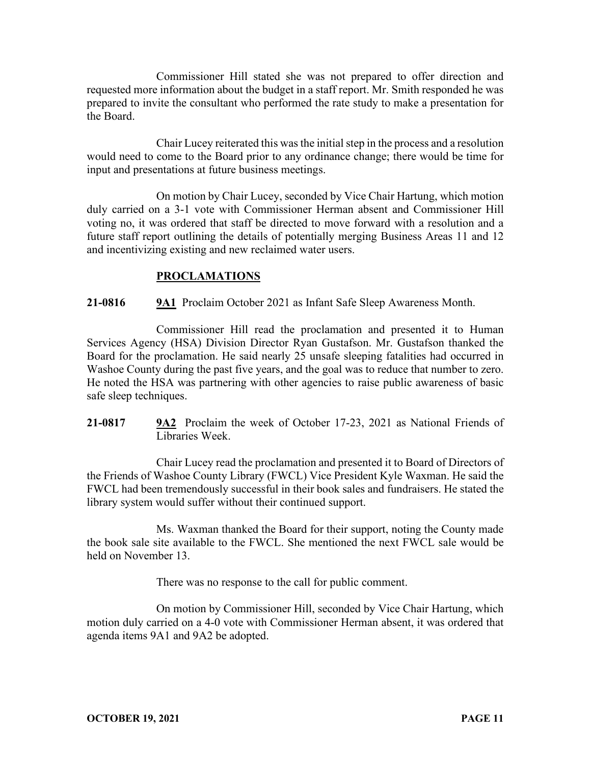Commissioner Hill stated she was not prepared to offer direction and requested more information about the budget in a staff report. Mr. Smith responded he was prepared to invite the consultant who performed the rate study to make a presentation for the Board.

Chair Lucey reiterated this was the initial step in the process and a resolution would need to come to the Board prior to any ordinance change; there would be time for input and presentations at future business meetings.

On motion by Chair Lucey, seconded by Vice Chair Hartung, which motion duly carried on a 3-1 vote with Commissioner Herman absent and Commissioner Hill voting no, it was ordered that staff be directed to move forward with a resolution and a future staff report outlining the details of potentially merging Business Areas 11 and 12 and incentivizing existing and new reclaimed water users.

## **PROCLAMATIONS**

## **21-0816 9A1** Proclaim October 2021 as Infant Safe Sleep Awareness Month.

Commissioner Hill read the proclamation and presented it to Human Services Agency (HSA) Division Director Ryan Gustafson. Mr. Gustafson thanked the Board for the proclamation. He said nearly 25 unsafe sleeping fatalities had occurred in Washoe County during the past five years, and the goal was to reduce that number to zero. He noted the HSA was partnering with other agencies to raise public awareness of basic safe sleep techniques.

**21-0817 9A2** Proclaim the week of October 17-23, 2021 as National Friends of Libraries Week.

Chair Lucey read the proclamation and presented it to Board of Directors of the Friends of Washoe County Library (FWCL) Vice President Kyle Waxman. He said the FWCL had been tremendously successful in their book sales and fundraisers. He stated the library system would suffer without their continued support.

Ms. Waxman thanked the Board for their support, noting the County made the book sale site available to the FWCL. She mentioned the next FWCL sale would be held on November 13.

There was no response to the call for public comment.

On motion by Commissioner Hill, seconded by Vice Chair Hartung, which motion duly carried on a 4-0 vote with Commissioner Herman absent, it was ordered that agenda items 9A1 and 9A2 be adopted.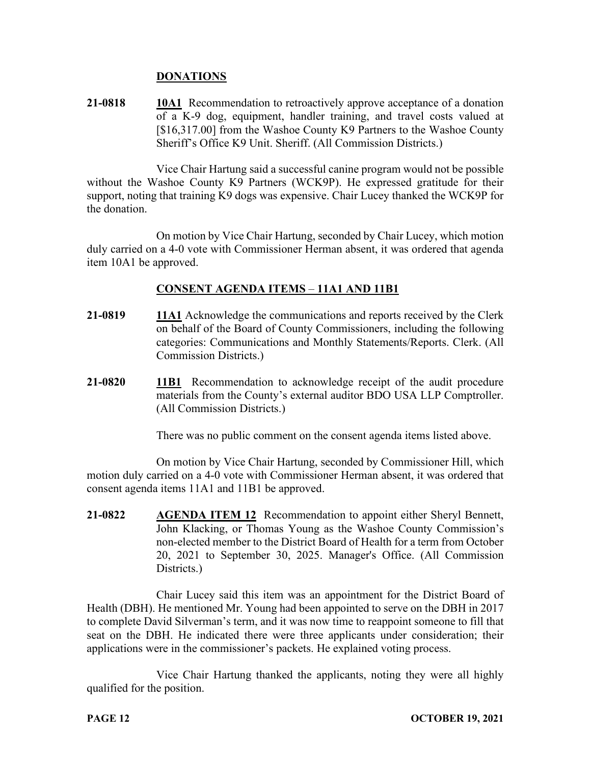#### **DONATIONS**

**21-0818 10A1** Recommendation to retroactively approve acceptance of a donation of a K-9 dog, equipment, handler training, and travel costs valued at [\$16,317.00] from the Washoe County K9 Partners to the Washoe County Sheriff's Office K9 Unit. Sheriff. (All Commission Districts.)

Vice Chair Hartung said a successful canine program would not be possible without the Washoe County K9 Partners (WCK9P). He expressed gratitude for their support, noting that training K9 dogs was expensive. Chair Lucey thanked the WCK9P for the donation.

On motion by Vice Chair Hartung, seconded by Chair Lucey, which motion duly carried on a 4-0 vote with Commissioner Herman absent, it was ordered that agenda item 10A1 be approved.

## **CONSENT AGENDA ITEMS** – **11A1 AND 11B1**

- **21-0819 11A1** Acknowledge the communications and reports received by the Clerk on behalf of the Board of County Commissioners, including the following categories: Communications and Monthly Statements/Reports. Clerk. (All Commission Districts.)
- **21-0820 11B1** Recommendation to acknowledge receipt of the audit procedure materials from the County's external auditor BDO USA LLP Comptroller. (All Commission Districts.)

There was no public comment on the consent agenda items listed above.

On motion by Vice Chair Hartung, seconded by Commissioner Hill, which motion duly carried on a 4-0 vote with Commissioner Herman absent, it was ordered that consent agenda items 11A1 and 11B1 be approved.

**21-0822 AGENDA ITEM 12** Recommendation to appoint either Sheryl Bennett, John Klacking, or Thomas Young as the Washoe County Commission's non-elected member to the District Board of Health for a term from October 20, 2021 to September 30, 2025. Manager's Office. (All Commission Districts.)

Chair Lucey said this item was an appointment for the District Board of Health (DBH). He mentioned Mr. Young had been appointed to serve on the DBH in 2017 to complete David Silverman's term, and it was now time to reappoint someone to fill that seat on the DBH. He indicated there were three applicants under consideration; their applications were in the commissioner's packets. He explained voting process.

Vice Chair Hartung thanked the applicants, noting they were all highly qualified for the position.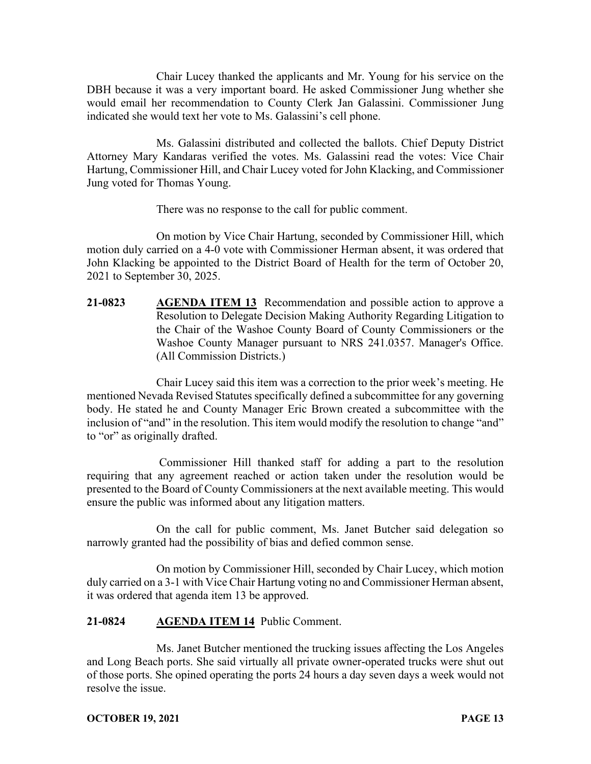Chair Lucey thanked the applicants and Mr. Young for his service on the DBH because it was a very important board. He asked Commissioner Jung whether she would email her recommendation to County Clerk Jan Galassini. Commissioner Jung indicated she would text her vote to Ms. Galassini's cell phone.

Ms. Galassini distributed and collected the ballots. Chief Deputy District Attorney Mary Kandaras verified the votes. Ms. Galassini read the votes: Vice Chair Hartung, Commissioner Hill, and Chair Lucey voted for John Klacking, and Commissioner Jung voted for Thomas Young.

There was no response to the call for public comment.

On motion by Vice Chair Hartung, seconded by Commissioner Hill, which motion duly carried on a 4-0 vote with Commissioner Herman absent, it was ordered that John Klacking be appointed to the District Board of Health for the term of October 20, 2021 to September 30, 2025.

**21-0823 AGENDA ITEM 13** Recommendation and possible action to approve a Resolution to Delegate Decision Making Authority Regarding Litigation to the Chair of the Washoe County Board of County Commissioners or the Washoe County Manager pursuant to NRS 241.0357. Manager's Office. (All Commission Districts.)

Chair Lucey said this item was a correction to the prior week's meeting. He mentioned Nevada Revised Statutes specifically defined a subcommittee for any governing body. He stated he and County Manager Eric Brown created a subcommittee with the inclusion of "and" in the resolution. This item would modify the resolution to change "and" to "or" as originally drafted.

Commissioner Hill thanked staff for adding a part to the resolution requiring that any agreement reached or action taken under the resolution would be presented to the Board of County Commissioners at the next available meeting. This would ensure the public was informed about any litigation matters.

On the call for public comment, Ms. Janet Butcher said delegation so narrowly granted had the possibility of bias and defied common sense.

On motion by Commissioner Hill, seconded by Chair Lucey, which motion duly carried on a 3-1 with Vice Chair Hartung voting no and Commissioner Herman absent, it was ordered that agenda item 13 be approved.

#### **21-0824 AGENDA ITEM 14** Public Comment.

Ms. Janet Butcher mentioned the trucking issues affecting the Los Angeles and Long Beach ports. She said virtually all private owner-operated trucks were shut out of those ports. She opined operating the ports 24 hours a day seven days a week would not resolve the issue.

#### **OCTOBER 19, 2021 PAGE 13**